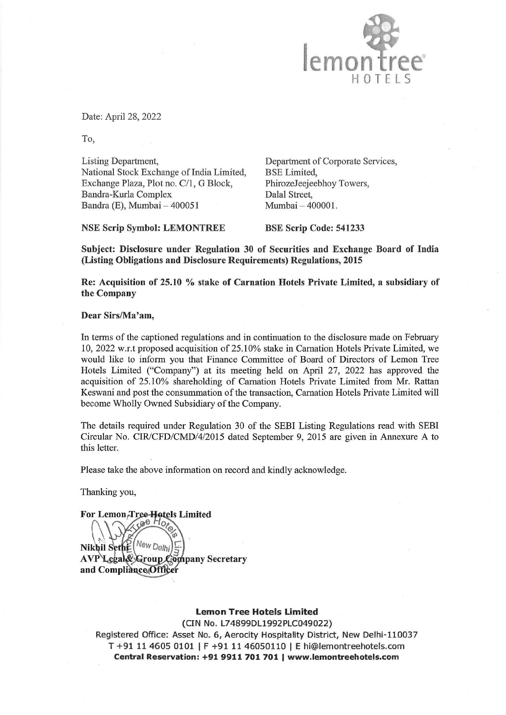

Date: April 28, 2022

To,

Listing Department, Department of Corporate Services, National Stock Exchange of India Limited, BSE Limited, Exchange Plaza, Plot no. C/1, G Block, PhirozeJeejeebhoy Towers, Bandra-Kurla Complex Dalal Street, Bandra (E), Mumbai – 400051 Mumbai – 400001.

NSE Scrip Symbol: LEMONTREE BSE Scrip Code: 541233

Subject: Disclosure under Regulation 30 of Securities and Exchange Board of India (Listing Obligations and Disclosure Requirements) Regulations, 2015

Re: Acquisition of 25.10 % stake of Carnation Hotels Private Limited, a subsidiary of the Company

## Dear Sirs/Ma'am,

In terms of the captioned regulations and in continuation to the disclosure made on February 10, 2022 w.r.t proposed acquisition of 25.10% stake in Carnation Hotels Private Limited, we would like to inform you that Finance Committee of Board of Directors of Lemon Tree Hotels Limited ("Company") at its meeting held on April 27, 2022 has approved the acquisition of 25.10% shareholding of Carnation Hotels Private Limited from Mr. Rattan Keswani and post the consummation of the transaction, Carnation Hotels Private Limited will become Wholly Owned Subsidiary of the Company.

The details required under Regulation 30 of the SEBI Listing Regulations read with SEBI Circular No. CIR/CFD/CMD/4/2015 dated September 9, 2015 are given in Annexure A to this letter.

Please take the above information on record and kindly acknowledge.

## Thanking you,<br>For Lemon,Tree Hotels Limited

 $19e$  Ho Nikhil Sethe New Delhi AVP Legal& Group Company Secretary and Compliance Officer

## Lemon Tree Hotels Limited

(CIN No. L74899DL1992PLC049022)

Registered Office: Asset No. 6, Aerocity Hospitality District, New Delhi-110037 T 491 11 4605 0101 | F +91 11 46050110 | E hi@iemontreehotels.com Central Reservation: +91 9911 701 701 | www.lemontreehotels.com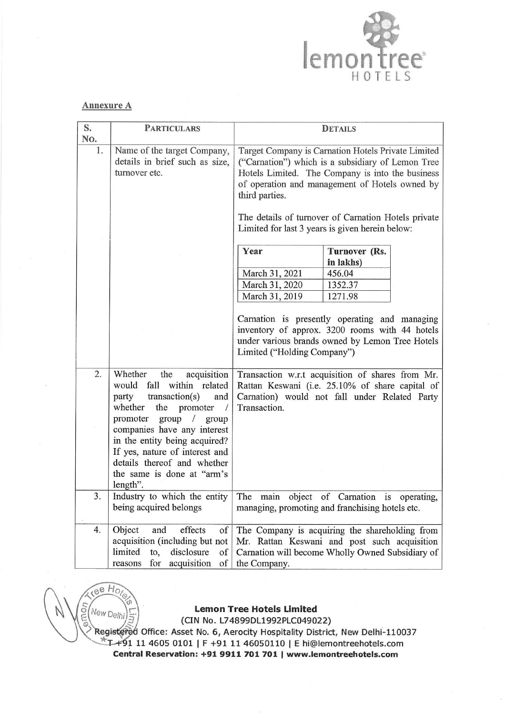

 $ee$  H<sub>c</sub>

| <b>Annexure A</b> |                                                                                                                                                                         |                                                                                                                                                                                                                                 | ion tree®<br>HOTELS        |  |  |  |
|-------------------|-------------------------------------------------------------------------------------------------------------------------------------------------------------------------|---------------------------------------------------------------------------------------------------------------------------------------------------------------------------------------------------------------------------------|----------------------------|--|--|--|
| S.                | <b>PARTICULARS</b>                                                                                                                                                      | <b>DETAILS</b>                                                                                                                                                                                                                  |                            |  |  |  |
| No.<br>1.         | Name of the target Company,<br>details in brief such as size,<br>turnover etc.                                                                                          | Target Company is Carnation Hotels Private Limited<br>("Carnation") which is a subsidiary of Lemon Tree<br>Hotels Limited. The Company is into the business<br>of operation and management of Hotels owned by<br>third parties. |                            |  |  |  |
|                   |                                                                                                                                                                         | The details of turnover of Carnation Hotels private<br>Limited for last 3 years is given herein below:                                                                                                                          |                            |  |  |  |
|                   |                                                                                                                                                                         | Year                                                                                                                                                                                                                            | Turnover (Rs.<br>in lakhs) |  |  |  |
|                   |                                                                                                                                                                         | March 31, 2021                                                                                                                                                                                                                  | 456.04                     |  |  |  |
|                   |                                                                                                                                                                         | March 31, 2020<br>March 31, 2019                                                                                                                                                                                                | 1352.37<br>1271.98         |  |  |  |
|                   |                                                                                                                                                                         | Carnation is presently operating and managing<br>inventory of approx. 3200 rooms with 44 hotels<br>under various brands owned by Lemon Tree Hotels<br>Limited ("Holding Company")                                               |                            |  |  |  |
| 2.                | acquisition<br>Whether<br>the<br>would fall within related<br>transaction(s)<br>party<br>and<br>whether<br>the<br>promoter<br>promoter<br>group<br>$\sqrt{2}$<br>group  | Transaction w.r.t acquisition of shares from Mr.<br>Rattan Keswani (i.e. 25.10% of share capital of<br>Carnation) would not fall under Related Party<br>Transaction.                                                            |                            |  |  |  |
|                   | companies have any interest<br>in the entity being acquired?<br>If yes, nature of interest and<br>details thereof and whether<br>the same is done at "arm's<br>length". |                                                                                                                                                                                                                                 |                            |  |  |  |
| 3.                | Industry to which the entity<br>being acquired belongs                                                                                                                  | The main object of Carnation is operating,<br>managing, promoting and franchising hotels etc.                                                                                                                                   |                            |  |  |  |
| 4.                | Object<br>and<br>effects<br>of<br>acquisition (including but not<br>disclosure<br>limited<br>to,<br>of<br>acquisition<br>for<br>of<br>reasons                           | The Company is acquiring the shareholding from<br>Mr. Rattan Keswani and post such acquisition<br>Carnation will become Wholly Owned Subsidiary of<br>the Company.                                                              |                            |  |  |  |

Lemon Tree Hotels Limited

(CIN No. L74899DL1992PLC049022)

 Central Reservation: +91 9911 701 701 | www.lemontreehotels.com Registered Office: Asset No. 6, Aerocity Hospitality District, New Delhi-110037 +91 11 4605 0101 | F +91 11 46050110 | E hi@lemontreehotels.com